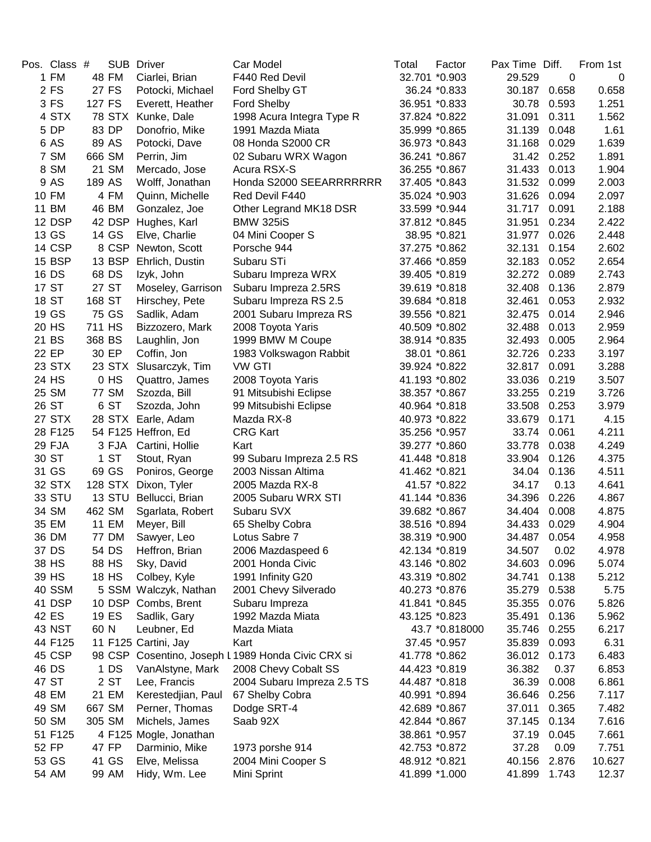| Pos. Class #   |        | <b>SUB</b>   | <b>Driver</b>          | Car Model                                          | Total         | Factor         | Pax Time Diff. |       | From 1st       |
|----------------|--------|--------------|------------------------|----------------------------------------------------|---------------|----------------|----------------|-------|----------------|
| 1 FM           |        | 48 FM        | Ciarlei, Brian         | F440 Red Devil                                     |               | 32.701 *0.903  | 29.529         | 0     | 0              |
| 2 FS           |        | 27 FS        | Potocki, Michael       | Ford Shelby GT                                     |               | 36.24 *0.833   | 30.187         | 0.658 | 0.658          |
| 3 FS           | 127 FS |              | Everett, Heather       | Ford Shelby                                        |               | 36.951 *0.833  | 30.78          | 0.593 | 1.251          |
| 4 STX          |        | 78 STX       | Kunke, Dale            | 1998 Acura Integra Type R                          |               | 37.824 *0.822  | 31.091         | 0.311 | 1.562          |
| 5 DP           |        | 83 DP        | Donofrio, Mike         | 1991 Mazda Miata                                   |               | 35.999 *0.865  | 31.139         | 0.048 | 1.61           |
| 6 AS           |        | 89 AS        | Potocki, Dave          | 08 Honda S2000 CR                                  |               | 36.973 *0.843  | 31.168         | 0.029 | 1.639          |
| 7 SM           | 666 SM |              | Perrin, Jim            | 02 Subaru WRX Wagon                                |               | 36.241 *0.867  | 31.42          | 0.252 | 1.891          |
| 8 SM           |        | 21 SM        | Mercado, Jose          | Acura RSX-S                                        | 36.255 *0.867 |                | 31.433         | 0.013 | 1.904          |
| 9 AS           | 189 AS |              | Wolff, Jonathan        | Honda S2000 SEEARRRRRRR                            |               | 37.405 *0.843  | 31.532         | 0.099 | 2.003          |
| 10 FM          |        | 4 FM         | Quinn, Michelle        | Red Devil F440                                     |               | 35.024 *0.903  | 31.626         | 0.094 | 2.097          |
| 11 BM          |        | 46 BM        | Gonzalez, Joe          | Other Legrand MK18 DSR                             |               | 33.599 *0.944  | 31.717         | 0.091 | 2.188          |
| 12 DSP         |        |              | 42 DSP Hughes, Karl    | <b>BMW 325iS</b>                                   | 37.812 *0.845 |                | 31.951         | 0.234 | 2.422          |
| 13 GS          |        | 14 GS        | Elve, Charlie          | 04 Mini Cooper S                                   |               | 38.95 *0.821   | 31.977         | 0.026 | 2.448          |
| 14 CSP         |        | 8 CSP        | Newton, Scott          | Porsche 944                                        | 37.275 *0.862 |                | 32.131         | 0.154 | 2.602          |
| <b>15 BSP</b>  |        | 13 BSP       | Ehrlich, Dustin        | Subaru STi                                         | 37.466 *0.859 |                | 32.183         | 0.052 | 2.654          |
| 16 DS          |        | 68 DS        | Izyk, John             | Subaru Impreza WRX                                 | 39.405 *0.819 |                | 32.272         | 0.089 | 2.743          |
| 17 ST          |        | 27 ST        | Moseley, Garrison      | Subaru Impreza 2.5RS                               | 39.619 *0.818 |                | 32.408         | 0.136 | 2.879          |
| 18 ST          | 168 ST |              | Hirschey, Pete         | Subaru Impreza RS 2.5                              |               | 39.684 *0.818  | 32.461         | 0.053 | 2.932          |
| 19 GS          |        | 75 GS        | Sadlik, Adam           | 2001 Subaru Impreza RS                             | 39.556 *0.821 |                | 32.475         | 0.014 | 2.946          |
| 20 HS          | 711 HS |              | Bizzozero, Mark        | 2008 Toyota Yaris                                  | 40.509 *0.802 |                | 32.488         | 0.013 | 2.959          |
| 21 BS          | 368 BS |              | Laughlin, Jon          | 1999 BMW M Coupe                                   | 38.914 *0.835 |                | 32.493         | 0.005 | 2.964          |
| 22 EP          |        | 30 EP        | Coffin, Jon            | 1983 Volkswagon Rabbit                             |               | 38.01 *0.861   | 32.726         | 0.233 | 3.197          |
| 23 STX         |        | 23 STX       | Slusarczyk, Tim        | <b>VW GTI</b>                                      | 39.924 *0.822 |                | 32.817         | 0.091 | 3.288          |
| 24 HS          |        | 0 HS         | Quattro, James         | 2008 Toyota Yaris                                  |               | 41.193 *0.802  | 33.036         | 0.219 | 3.507          |
| 25 SM          |        | <b>77 SM</b> | Szozda, Bill           | 91 Mitsubishi Eclipse                              |               | 38.357 *0.867  | 33.255         | 0.219 | 3.726          |
| 26 ST          |        | 6 ST         | Szozda, John           | 99 Mitsubishi Eclipse                              |               | 40.964 *0.818  | 33.508         | 0.253 | 3.979          |
| 27 STX         |        | 28 STX       | Earle, Adam            | Mazda RX-8                                         |               | 40.973 *0.822  | 33.679         | 0.171 | 4.15           |
| 28 F125        |        |              | 54 F125 Heffron, Ed    | <b>CRG Kart</b>                                    |               | 35.256 *0.957  | 33.74          | 0.061 | 4.211          |
| 29 FJA         |        | 3 FJA        | Cartini, Hollie        | Kart                                               |               | 39.277 *0.860  | 33.778         | 0.038 | 4.249          |
| 30 ST          |        | 1 ST         | Stout, Ryan            | 99 Subaru Impreza 2.5 RS                           |               | 41.448 *0.818  | 33.904         | 0.126 | 4.375          |
| 31 GS          |        | 69 GS        | Poniros, George        | 2003 Nissan Altima                                 | 41.462 *0.821 |                | 34.04          | 0.136 | 4.511          |
| 32 STX         |        | 128 STX      | Dixon, Tyler           | 2005 Mazda RX-8                                    |               | 41.57 *0.822   | 34.17          | 0.13  | 4.641          |
| 33 STU         |        |              | 13 STU Bellucci, Brian | 2005 Subaru WRX STI                                |               | 41.144 *0.836  | 34.396         | 0.226 | 4.867          |
| 34 SM          | 462 SM |              | Sgarlata, Robert       | Subaru SVX                                         |               | 39.682 *0.867  | 34.404         | 0.008 | 4.875          |
| 35 EM          |        | <b>11 EM</b> |                        |                                                    | 38.516 *0.894 |                | 34.433         | 0.029 | 4.904          |
|                |        |              | Meyer, Bill            | 65 Shelby Cobra<br>Lotus Sabre 7                   |               |                | 34.487         | 0.054 |                |
| 36 DM<br>37 DS |        | 77 DM        | Sawyer, Leo            |                                                    |               | 38.319 *0.900  |                |       | 4.958<br>4.978 |
|                |        | 54 DS        | Heffron, Brian         | 2006 Mazdaspeed 6                                  | 42.134 *0.819 |                | 34.507         | 0.02  |                |
| 38 HS          |        | 88 HS        | Sky, David             | 2001 Honda Civic                                   |               | 43.146 *0.802  | 34.603         | 0.096 | 5.074<br>5.212 |
| 39 HS          |        | 18 HS        | Colbey, Kyle           | 1991 Infinity G20                                  |               | 43.319 *0.802  | 34.741         | 0.138 |                |
| 40 SSM         |        |              | 5 SSM Walczyk, Nathan  | 2001 Chevy Silverado                               | 40.273 *0.876 |                | 35.279         | 0.538 | 5.75           |
| 41 DSP         |        |              | 10 DSP Combs, Brent    | Subaru Impreza                                     | 41.841 *0.845 |                | 35.355         | 0.076 | 5.826          |
| 42 ES          |        | 19 ES        | Sadlik, Gary           | 1992 Mazda Miata                                   | 43.125 *0.823 |                | 35.491         | 0.136 | 5.962          |
| <b>43 NST</b>  | 60 N   |              | Leubner, Ed            | Mazda Miata                                        |               | 43.7 *0.818000 | 35.746         | 0.255 | 6.217          |
| 44 F125        |        |              | 11 F125 Cartini, Jay   | Kart                                               |               | 37.45 *0.957   | 35.839         | 0.093 | 6.31           |
| 45 CSP         |        |              |                        | 98 CSP Cosentino, Joseph L 1989 Honda Civic CRX si | 41.778 *0.862 |                | 36.012         | 0.173 | 6.483          |
| 46 DS          |        | 1 DS         | VanAlstyne, Mark       | 2008 Chevy Cobalt SS                               | 44.423 *0.819 |                | 36.382         | 0.37  | 6.853          |
| 47 ST          |        | 2 ST         | Lee, Francis           | 2004 Subaru Impreza 2.5 TS                         |               | 44.487 *0.818  | 36.39          | 0.008 | 6.861          |
| 48 EM          |        | 21 EM        | Kerestedjian, Paul     | 67 Shelby Cobra                                    | 40.991 *0.894 |                | 36.646         | 0.256 | 7.117          |
| 49 SM          |        | 667 SM       | Perner, Thomas         | Dodge SRT-4                                        | 42.689 *0.867 |                | 37.011         | 0.365 | 7.482          |
| 50 SM          |        | 305 SM       | Michels, James         | Saab 92X                                           | 42.844 *0.867 |                | 37.145         | 0.134 | 7.616          |
| 51 F125        |        |              | 4 F125 Mogle, Jonathan |                                                    |               | 38.861 *0.957  | 37.19          | 0.045 | 7.661          |
| 52 FP          |        | 47 FP        | Darminio, Mike         | 1973 porshe 914                                    |               | 42.753 *0.872  | 37.28          | 0.09  | 7.751          |
| 53 GS          |        | 41 GS        | Elve, Melissa          | 2004 Mini Cooper S                                 | 48.912 *0.821 |                | 40.156         | 2.876 | 10.627         |
| 54 AM          |        | 99 AM        | Hidy, Wm. Lee          | Mini Sprint                                        |               | 41.899 *1.000  | 41.899         | 1.743 | 12.37          |